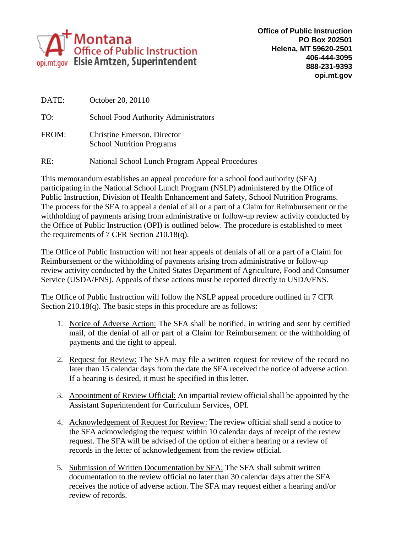

| DATE: | October 20, 20110                                               |
|-------|-----------------------------------------------------------------|
| TO:   | <b>School Food Authority Administrators</b>                     |
| FROM: | Christine Emerson, Director<br><b>School Nutrition Programs</b> |
| RE:   | National School Lunch Program Appeal Procedures                 |

This memorandum establishes an appeal procedure for a school food authority (SFA) participating in the National School Lunch Program (NSLP) administered by the Office of Public Instruction, Division of Health Enhancement and Safety, School Nutrition Programs. The process for the SFA to appeal a denial of all or a part of a Claim for Reimbursement or the withholding of payments arising from administrative or follow-up review activity conducted by the Office of Public Instruction (OPI) is outlined below. The procedure is established to meet the requirements of 7 CFR Section 210.18(q).

The Office of Public Instruction will not hear appeals of denials of all or a part of a Claim for Reimbursement or the withholding of payments arising from administrative or follow-up review activity conducted by the United States Department of Agriculture, Food and Consumer Service (USDA/FNS). Appeals of these actions must be reported directly to USDA/FNS.

The Office of Public Instruction will follow the NSLP appeal procedure outlined in 7 CFR Section 210.18(q). The basic steps in this procedure are as follows:

- 1. Notice of Adverse Action: The SFA shall be notified, in writing and sent by certified mail, of the denial of all or part of a Claim for Reimbursement or the withholding of payments and the right to appeal.
- 2. Request for Review: The SFA may file a written request for review of the record no later than 15 calendar days from the date the SFA received the notice of adverse action. If a hearing is desired, it must be specified in this letter.
- 3. Appointment of Review Official: An impartial review official shall be appointed by the Assistant Superintendent for Curriculum Services, OPI.
- 4. Acknowledgement of Request for Review: The review official shall send a notice to the SFA acknowledging the request within 10 calendar days of receipt of the review request. The SFA will be advised of the option of either a hearing or a review of records in the letter of acknowledgement from the review official.
- 5. Submission of Written Documentation by SFA: The SFA shall submit written documentation to the review official no later than 30 calendar days after the SFA receives the notice of adverse action. The SFA may request either a hearing and/or review of records.